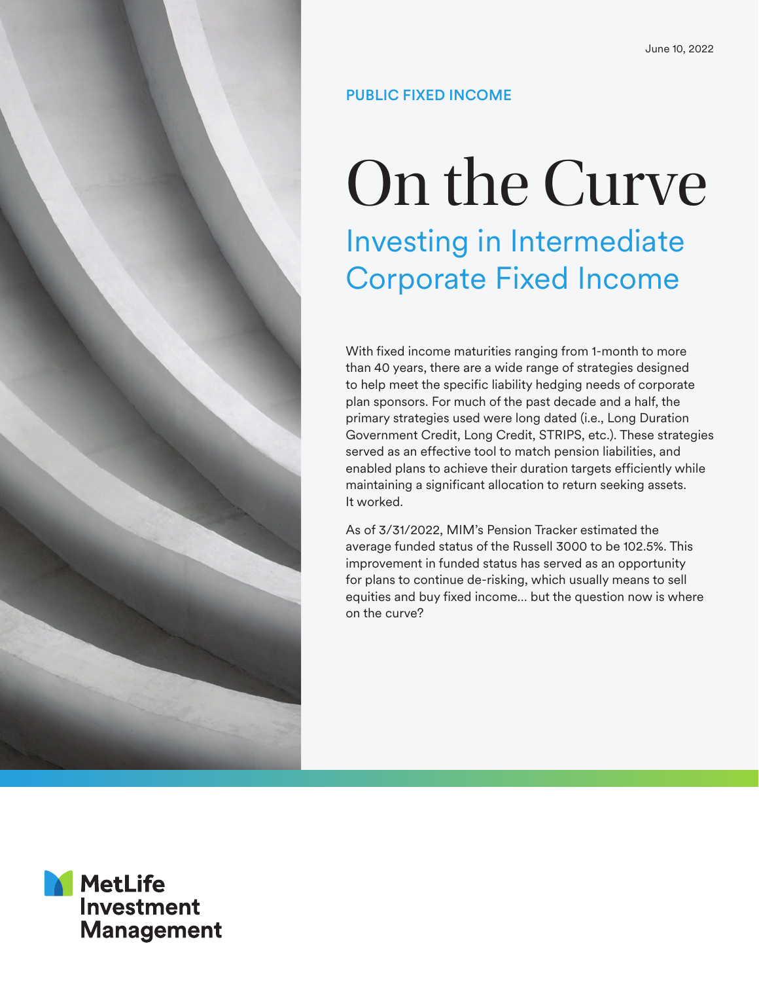# PUBLIC FIXED INCOME

# On the Curve Investing in Intermediate Corporate Fixed Income

With fixed income maturities ranging from 1-month to more than 40 years, there are a wide range of strategies designed to help meet the specific liability hedging needs of corporate plan sponsors. For much of the past decade and a half, the primary strategies used were long dated (i.e., Long Duration Government Credit, Long Credit, STRIPS, etc.). These strategies served as an effective tool to match pension liabilities, and enabled plans to achieve their duration targets efficiently while maintaining a significant allocation to return seeking assets. It worked.

As of 3/31/2022, MIM's Pension Tracker estimated the average funded status of the Russell 3000 to be 102.5%. This improvement in funded status has served as an opportunity for plans to continue de-risking, which usually means to sell equities and buy fixed income… but the question now is where on the curve?

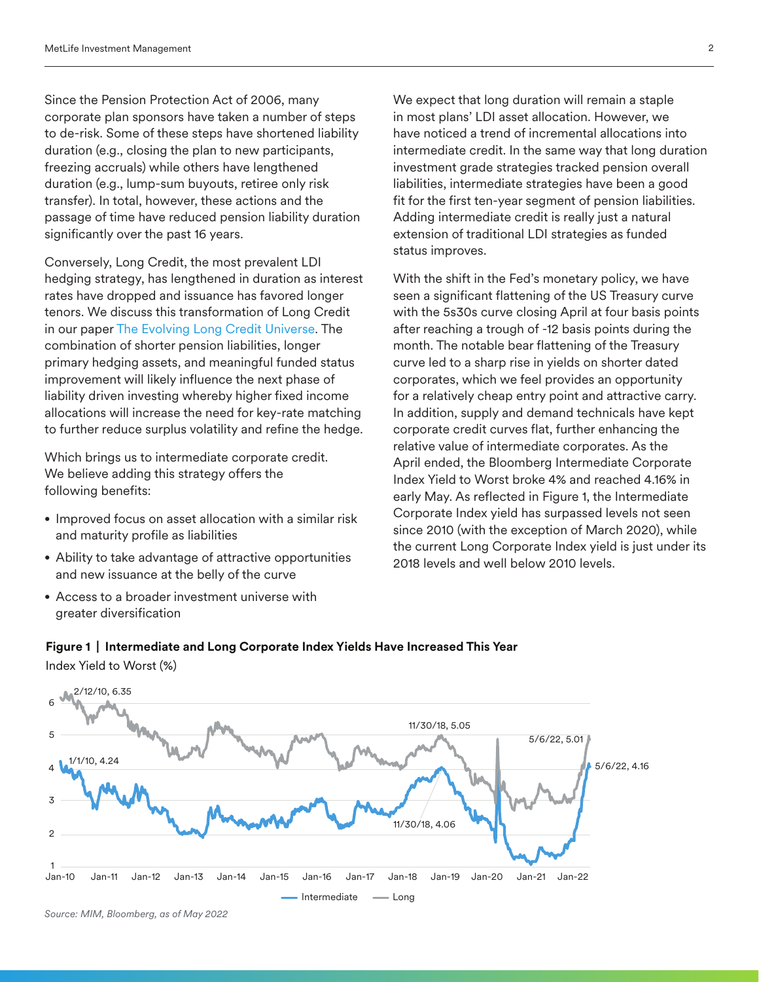Since the Pension Protection Act of 2006, many corporate plan sponsors have taken a number of steps to de-risk. Some of these steps have shortened liability duration (e.g., closing the plan to new participants, freezing accruals) while others have lengthened duration (e.g., lump-sum buyouts, retiree only risk transfer). In total, however, these actions and the passage of time have reduced pension liability duration significantly over the past 16 years.

Conversely, Long Credit, the most prevalent LDI hedging strategy, has lengthened in duration as interest rates have dropped and issuance has favored longer tenors. We discuss this transformation of Long Credit in our paper [The Evolving Long Credit Universe](https://investments.metlife.com/insights/public-fixed-income/the-evolving-long-credit-universe/). The combination of shorter pension liabilities, longer primary hedging assets, and meaningful funded status improvement will likely influence the next phase of liability driven investing whereby higher fixed income allocations will increase the need for key-rate matching to further reduce surplus volatility and refine the hedge.

Which brings us to intermediate corporate credit. We believe adding this strategy offers the following benefits:

- Improved focus on asset allocation with a similar risk and maturity profile as liabilities
- Ability to take advantage of attractive opportunities and new issuance at the belly of the curve
- Access to a broader investment universe with greater diversification

We expect that long duration will remain a staple in most plans' LDI asset allocation. However, we have noticed a trend of incremental allocations into intermediate credit. In the same way that long duration investment grade strategies tracked pension overall liabilities, intermediate strategies have been a good fit for the first ten-year segment of pension liabilities. Adding intermediate credit is really just a natural extension of traditional LDI strategies as funded status improves.

With the shift in the Fed's monetary policy, we have seen a significant flattening of the US Treasury curve with the 5s30s curve closing April at four basis points after reaching a trough of -12 basis points during the month. The notable bear flattening of the Treasury curve led to a sharp rise in yields on shorter dated corporates, which we feel provides an opportunity for a relatively cheap entry point and attractive carry. In addition, supply and demand technicals have kept corporate credit curves flat, further enhancing the relative value of intermediate corporates. As the April ended, the Bloomberg Intermediate Corporate Index Yield to Worst broke 4% and reached 4.16% in early May. As reflected in Figure 1, the Intermediate Corporate Index yield has surpassed levels not seen since 2010 (with the exception of March 2020), while the current Long Corporate Index yield is just under its 2018 levels and well below 2010 levels.



### **Figure 1 | Intermediate and Long Corporate Index Yields Have Increased This Year**

Index Yield to Worst (%)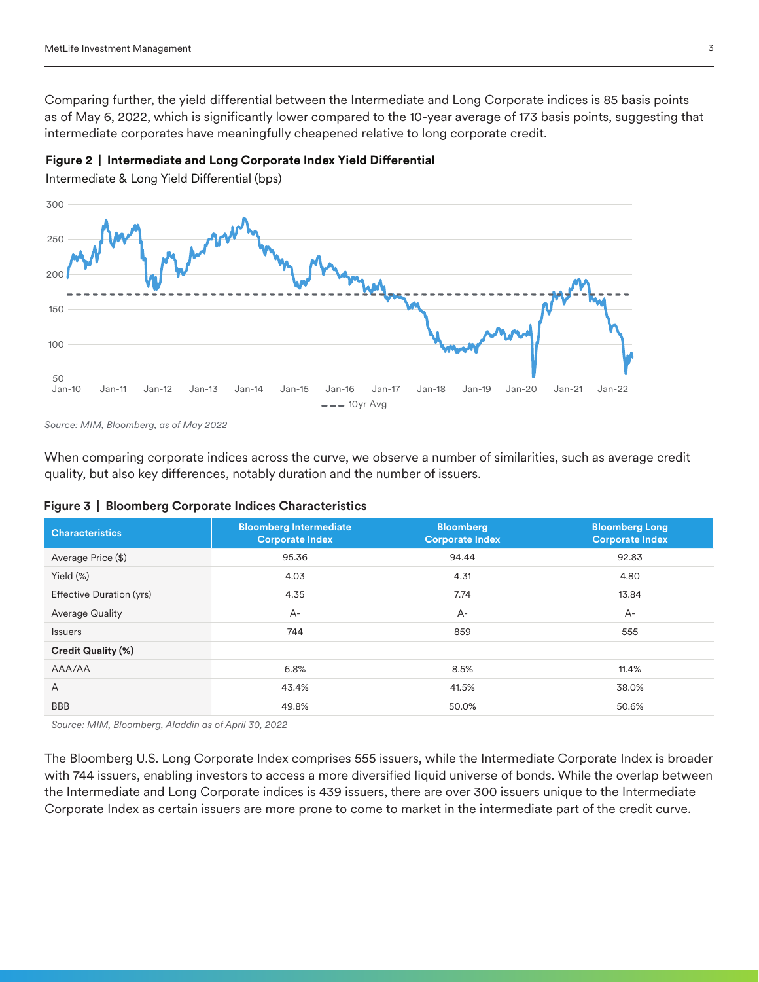Comparing further, the yield differential between the Intermediate and Long Corporate indices is 85 basis points as of May 6, 2022, which is significantly lower compared to the 10-year average of 173 basis points, suggesting that intermediate corporates have meaningfully cheapened relative to long corporate credit.



Intermediate & Long Yield Differential (bps)



*Source: MIM, Bloomberg, as of May 2022*

When comparing corporate indices across the curve, we observe a number of similarities, such as average credit quality, but also key differences, notably duration and the number of issuers.

| <b>Characteristics</b>    | <b>Bloomberg Intermediate</b><br><b>Corporate Index</b> | <b>Bloomberg</b><br><b>Corporate Index</b> | <b>Bloomberg Long</b><br><b>Corporate Index</b> |
|---------------------------|---------------------------------------------------------|--------------------------------------------|-------------------------------------------------|
| Average Price (\$)        | 95.36                                                   | 94.44                                      | 92.83                                           |
| Yield (%)                 | 4.03                                                    | 4.31                                       | 4.80                                            |
| Effective Duration (yrs)  | 4.35                                                    | 7.74                                       | 13.84                                           |
| <b>Average Quality</b>    | $A-$                                                    | $A -$                                      | $A-$                                            |
| <b>Issuers</b>            | 744                                                     | 859                                        | 555                                             |
| <b>Credit Quality (%)</b> |                                                         |                                            |                                                 |
| AAA/AA                    | 6.8%                                                    | 8.5%                                       | 11.4%                                           |
| $\overline{A}$            | 43.4%                                                   | 41.5%                                      | 38.0%                                           |
| <b>BBB</b>                | 49.8%                                                   | 50.0%                                      | 50.6%                                           |

#### **Figure 3 | Bloomberg Corporate Indices Characteristics**

*Source: MIM, Bloomberg, Aladdin as of April 30, 2022*

The Bloomberg U.S. Long Corporate Index comprises 555 issuers, while the Intermediate Corporate Index is broader with 744 issuers, enabling investors to access a more diversified liquid universe of bonds. While the overlap between the Intermediate and Long Corporate indices is 439 issuers, there are over 300 issuers unique to the Intermediate Corporate Index as certain issuers are more prone to come to market in the intermediate part of the credit curve.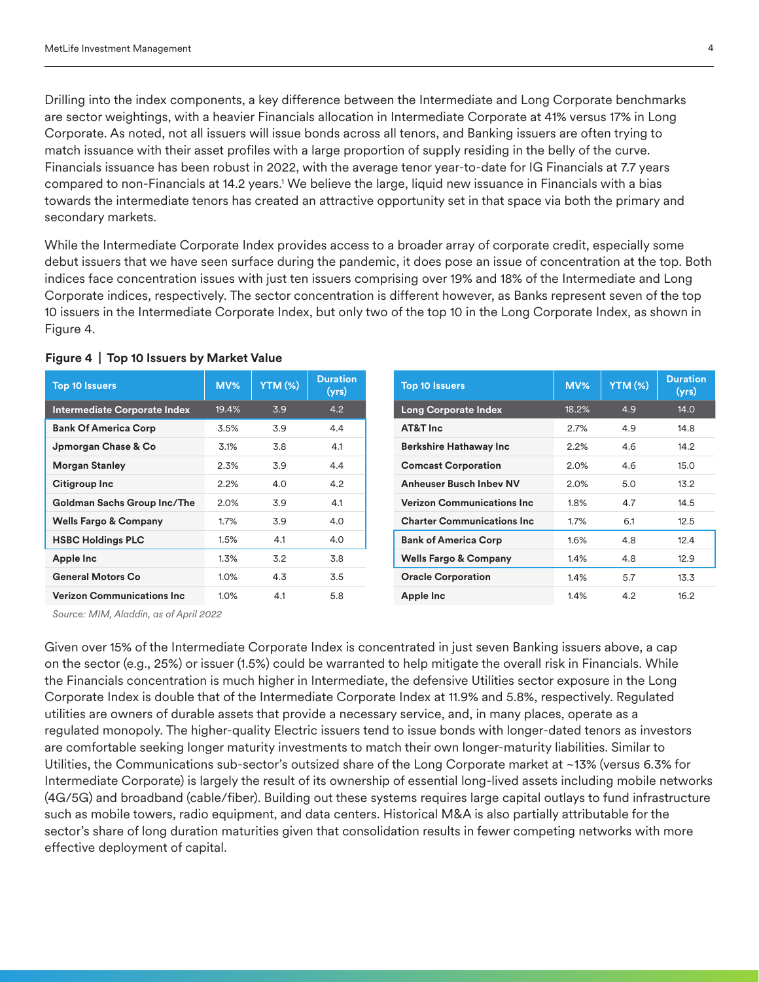Drilling into the index components, a key difference between the Intermediate and Long Corporate benchmarks are sector weightings, with a heavier Financials allocation in Intermediate Corporate at 41% versus 17% in Long Corporate. As noted, not all issuers will issue bonds across all tenors, and Banking issuers are often trying to match issuance with their asset profiles with a large proportion of supply residing in the belly of the curve. Financials issuance has been robust in 2022, with the average tenor year-to-date for IG Financials at 7.7 years compared to non-Financials at 14.2 years.1 We believe the large, liquid new issuance in Financials with a bias towards the intermediate tenors has created an attractive opportunity set in that space via both the primary and secondary markets.

While the Intermediate Corporate Index provides access to a broader array of corporate credit, especially some debut issuers that we have seen surface during the pandemic, it does pose an issue of concentration at the top. Both indices face concentration issues with just ten issuers comprising over 19% and 18% of the Intermediate and Long Corporate indices, respectively. The sector concentration is different however, as Banks represent seven of the top 10 issuers in the Intermediate Corporate Index, but only two of the top 10 in the Long Corporate Index, as shown in Figure 4.

| <b>Top 10 Issuers</b>               | MV%   | <b>YTM (%)</b> | <b>Duration</b><br>(yrs) |
|-------------------------------------|-------|----------------|--------------------------|
| <b>Intermediate Corporate Index</b> | 19.4% | 3.9            | 4.2                      |
| <b>Bank Of America Corp</b>         | 3.5%  | 3.9            | 4.4                      |
| Jpmorgan Chase & Co                 | 3.1%  | 3.8            | 4.1                      |
| <b>Morgan Stanley</b>               | 2.3%  | 3.9            | 4.4                      |
| Citigroup Inc                       | 2.2%  | 4.0            | 4.2                      |
| Goldman Sachs Group Inc/The         | 2.0%  | 3.9            | 4.1                      |
| <b>Wells Fargo &amp; Company</b>    | 1.7%  | 3.9            | 4.0                      |
| <b>HSBC Holdings PLC</b>            | 1.5%  | 4.1            | 4.0                      |
| Apple Inc                           | 1.3%  | 3.2            | 3.8                      |
| <b>General Motors Co</b>            | 1.0%  | 4.3            | 3.5                      |
| <b>Verizon Communications Inc.</b>  | 1.0%  | 4.1            | 5.8                      |

#### **Figure 4 | Top 10 Issuers by Market Value**

| <b>Top 10 Issuers</b>              | MV%   | <b>YTM (%)</b> | <b>Duration</b><br>(yrs) |
|------------------------------------|-------|----------------|--------------------------|
| <b>Long Corporate Index</b>        | 18.2% | 4.9            | 14.0                     |
| AT&T Inc.                          | 2.7%  | 4.9            | 14.8                     |
| <b>Berkshire Hathaway Inc</b>      | 2.2%  | 4.6            | 14.2                     |
| <b>Comcast Corporation</b>         | 2.0%  | 4.6            | 15.0                     |
| <b>Anheuser Busch Inbey NV</b>     | 2.0%  | 5.0            | 13.2                     |
| <b>Verizon Communications Inc.</b> | 1.8%  | 4.7            | 14.5                     |
| <b>Charter Communications Inc.</b> | 1.7%  | 6.1            | 12.5                     |
| <b>Bank of America Corp</b>        | 1.6%  | 4.8            | 12.4                     |
| <b>Wells Fargo &amp; Company</b>   | 1.4%  | 4.8            | 12.9                     |
| <b>Oracle Corporation</b>          | 1.4%  | 5.7            | 13.3                     |
| Apple Inc                          | 1.4%  | 4.2            | 16.2                     |

*Source: MIM, Aladdin, as of April 2022*

Given over 15% of the Intermediate Corporate Index is concentrated in just seven Banking issuers above, a cap on the sector (e.g., 25%) or issuer (1.5%) could be warranted to help mitigate the overall risk in Financials. While the Financials concentration is much higher in Intermediate, the defensive Utilities sector exposure in the Long Corporate Index is double that of the Intermediate Corporate Index at 11.9% and 5.8%, respectively. Regulated utilities are owners of durable assets that provide a necessary service, and, in many places, operate as a regulated monopoly. The higher-quality Electric issuers tend to issue bonds with longer-dated tenors as investors are comfortable seeking longer maturity investments to match their own longer-maturity liabilities. Similar to Utilities, the Communications sub-sector's outsized share of the Long Corporate market at ~13% (versus 6.3% for Intermediate Corporate) is largely the result of its ownership of essential long-lived assets including mobile networks (4G/5G) and broadband (cable/fiber). Building out these systems requires large capital outlays to fund infrastructure such as mobile towers, radio equipment, and data centers. Historical M&A is also partially attributable for the sector's share of long duration maturities given that consolidation results in fewer competing networks with more effective deployment of capital.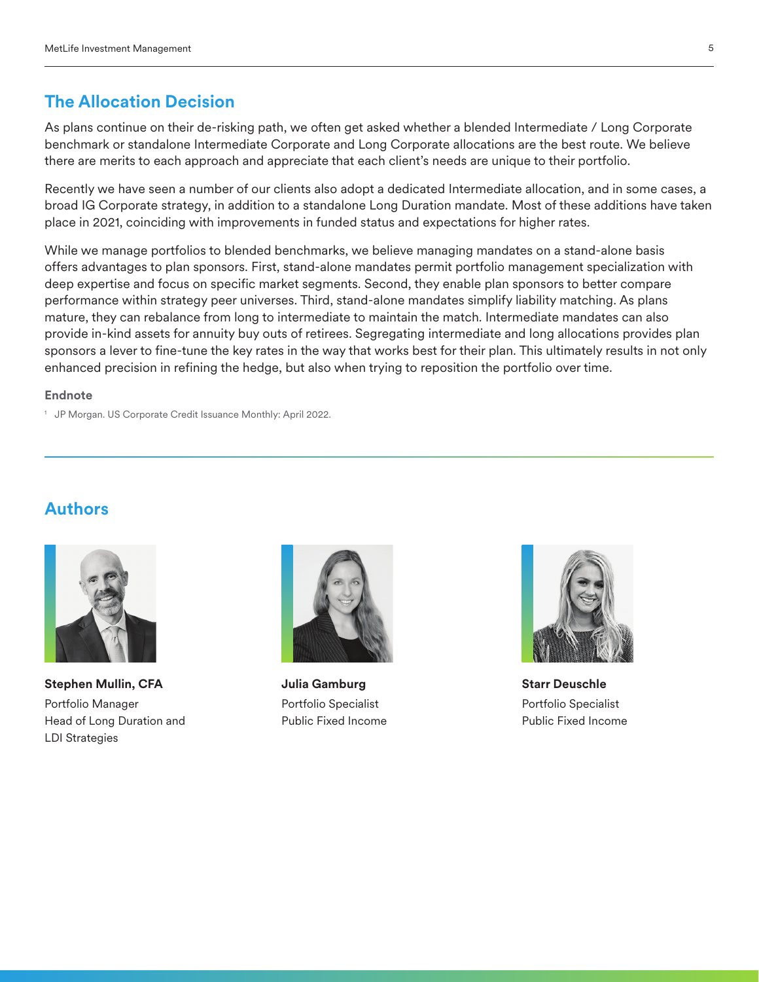## **The Allocation Decision**

As plans continue on their de-risking path, we often get asked whether a blended Intermediate / Long Corporate benchmark or standalone Intermediate Corporate and Long Corporate allocations are the best route. We believe there are merits to each approach and appreciate that each client's needs are unique to their portfolio.

Recently we have seen a number of our clients also adopt a dedicated Intermediate allocation, and in some cases, a broad IG Corporate strategy, in addition to a standalone Long Duration mandate. Most of these additions have taken place in 2021, coinciding with improvements in funded status and expectations for higher rates.

While we manage portfolios to blended benchmarks, we believe managing mandates on a stand-alone basis offers advantages to plan sponsors. First, stand-alone mandates permit portfolio management specialization with deep expertise and focus on specific market segments. Second, they enable plan sponsors to better compare performance within strategy peer universes. Third, stand-alone mandates simplify liability matching. As plans mature, they can rebalance from long to intermediate to maintain the match. Intermediate mandates can also provide in-kind assets for annuity buy outs of retirees. Segregating intermediate and long allocations provides plan sponsors a lever to fine-tune the key rates in the way that works best for their plan. This ultimately results in not only enhanced precision in refining the hedge, but also when trying to reposition the portfolio over time.

#### **Endnote**

<sup>1</sup> JP Morgan. US Corporate Credit Issuance Monthly: April 2022.

## **Authors**



**Stephen Mullin, CFA** Portfolio Manager Head of Long Duration and LDI Strategies



**Julia Gamburg** Portfolio Specialist Public Fixed Income



**Starr Deuschle** Portfolio Specialist Public Fixed Income